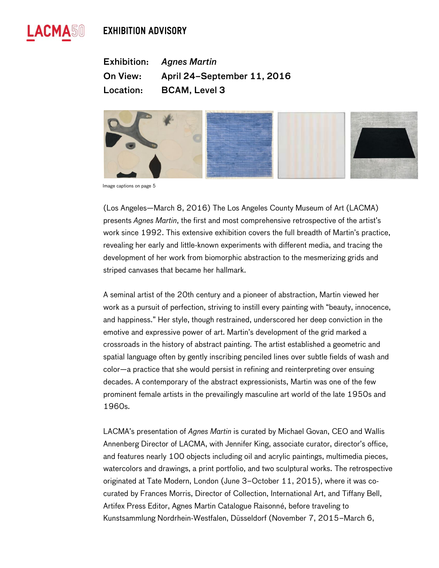# **EXHIBITION ADVISORY**



Exhibition: *Agnes Martin* On View: April 24–September 11, 2016 Location: BCAM, Level 3



Image captions on page 5

(Los Angeles—March 8, 2016) The Los Angeles County Museum of Art (LACMA) presents *Agnes Martin*, the first and most comprehensive retrospective of the artist's work since 1992. This extensive exhibition covers the full breadth of Martin's practice, revealing her early and little-known experiments with different media, and tracing the development of her work from biomorphic abstraction to the mesmerizing grids and striped canvases that became her hallmark.

A seminal artist of the 20th century and a pioneer of abstraction, Martin viewed her work as a pursuit of perfection, striving to instill every painting with "beauty, innocence, and happiness." Her style, though restrained, underscored her deep conviction in the emotive and expressive power of art. Martin's development of the grid marked a crossroads in the history of abstract painting. The artist established a geometric and spatial language often by gently inscribing penciled lines over subtle fields of wash and color—a practice that she would persist in refining and reinterpreting over ensuing decades. A contemporary of the abstract expressionists, Martin was one of the few prominent female artists in the prevailingly masculine art world of the late 1950s and 1960s.

LACMA's presentation of *Agnes Martin* is curated by Michael Govan, CEO and Wallis Annenberg Director of LACMA, with Jennifer King, associate curator, director's office, and features nearly 100 objects including oil and acrylic paintings, multimedia pieces, watercolors and drawings, a print portfolio, and two sculptural works. The retrospective originated at Tate Modern, London (June 3–October 11, 2015), where it was cocurated by Frances Morris, Director of Collection, International Art, and Tiffany Bell, Artifex Press Editor, Agnes Martin Catalogue Raisonné, before traveling to Kunstsammlung Nordrhein-Westfalen, Düsseldorf (November 7, 2015–March 6,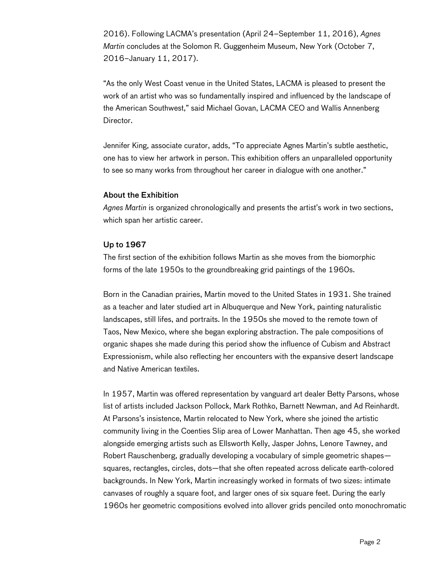2016). Following LACMA's presentation (April 24–September 11, 2016), *Agnes Martin* concludes at the Solomon R. Guggenheim Museum, New York (October 7, 2016–January 11, 2017).

"As the only West Coast venue in the United States, LACMA is pleased to present the work of an artist who was so fundamentally inspired and influenced by the landscape of the American Southwest," said Michael Govan, LACMA CEO and Wallis Annenberg Director.

Jennifer King, associate curator, adds, "To appreciate Agnes Martin's subtle aesthetic, one has to view her artwork in person. This exhibition offers an unparalleled opportunity to see so many works from throughout her career in dialogue with one another."

## About the Exhibition

*Agnes Martin* is organized chronologically and presents the artist's work in two sections, which span her artistic career.

## Up to 1967

The first section of the exhibition follows Martin as she moves from the biomorphic forms of the late 1950s to the groundbreaking grid paintings of the 1960s.

Born in the Canadian prairies, Martin moved to the United States in 1931. She trained as a teacher and later studied art in Albuquerque and New York, painting naturalistic landscapes, still lifes, and portraits. In the 1950s she moved to the remote town of Taos, New Mexico, where she began exploring abstraction. The pale compositions of organic shapes she made during this period show the influence of Cubism and Abstract Expressionism, while also reflecting her encounters with the expansive desert landscape and Native American textiles.

In 1957, Martin was offered representation by vanguard art dealer Betty Parsons, whose list of artists included Jackson Pollock, Mark Rothko, Barnett Newman, and Ad Reinhardt. At Parsons's insistence, Martin relocated to New York, where she joined the artistic community living in the Coenties Slip area of Lower Manhattan. Then age 45, she worked alongside emerging artists such as Ellsworth Kelly, Jasper Johns, Lenore Tawney, and Robert Rauschenberg, gradually developing a vocabulary of simple geometric shapes squares, rectangles, circles, dots—that she often repeated across delicate earth-colored backgrounds. In New York, Martin increasingly worked in formats of two sizes: intimate canvases of roughly a square foot, and larger ones of six square feet. During the early 1960s her geometric compositions evolved into allover grids penciled onto monochromatic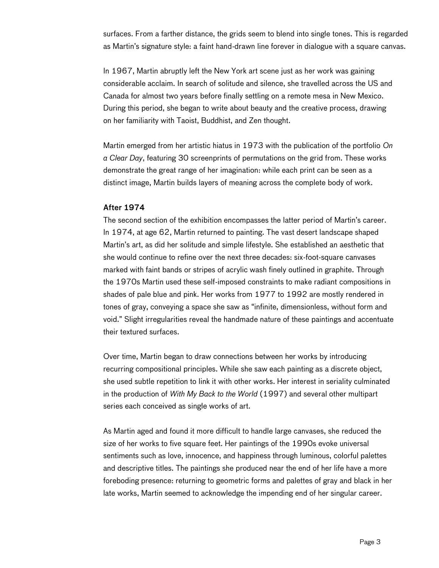surfaces. From a farther distance, the grids seem to blend into single tones. This is regarded as Martin's signature style: a faint hand-drawn line forever in dialogue with a square canvas.

In 1967, Martin abruptly left the New York art scene just as her work was gaining considerable acclaim. In search of solitude and silence, she travelled across the US and Canada for almost two years before finally settling on a remote mesa in New Mexico. During this period, she began to write about beauty and the creative process, drawing on her familiarity with Taoist, Buddhist, and Zen thought.

Martin emerged from her artistic hiatus in 1973 with the publication of the portfolio *On a Clear Day*, featuring 30 screenprints of permutations on the grid from. These works demonstrate the great range of her imagination: while each print can be seen as a distinct image, Martin builds layers of meaning across the complete body of work.

#### After 1974

The second section of the exhibition encompasses the latter period of Martin's career. In 1974, at age 62, Martin returned to painting. The vast desert landscape shaped Martin's art, as did her solitude and simple lifestyle. She established an aesthetic that she would continue to refine over the next three decades: six-foot-square canvases marked with faint bands or stripes of acrylic wash finely outlined in graphite. Through the 1970s Martin used these self-imposed constraints to make radiant compositions in shades of pale blue and pink. Her works from 1977 to 1992 are mostly rendered in tones of gray, conveying a space she saw as "infinite, dimensionless, without form and void." Slight irregularities reveal the handmade nature of these paintings and accentuate their textured surfaces.

Over time, Martin began to draw connections between her works by introducing recurring compositional principles. While she saw each painting as a discrete object, she used subtle repetition to link it with other works. Her interest in seriality culminated in the production of *With My Back to the World* (1997) and several other multipart series each conceived as single works of art.

As Martin aged and found it more difficult to handle large canvases, she reduced the size of her works to five square feet. Her paintings of the 1990s evoke universal sentiments such as love, innocence, and happiness through luminous, colorful palettes and descriptive titles. The paintings she produced near the end of her life have a more foreboding presence: returning to geometric forms and palettes of gray and black in her late works, Martin seemed to acknowledge the impending end of her singular career.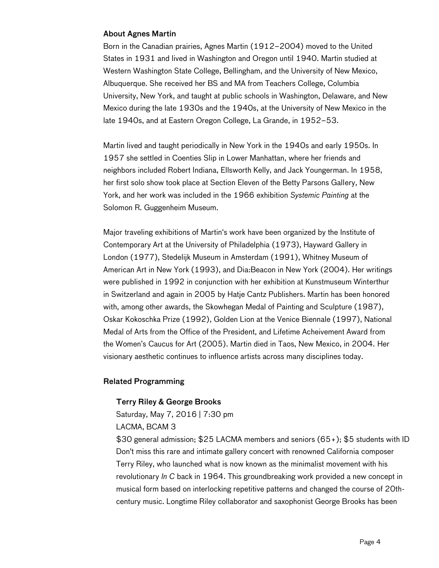## About Agnes Martin

Born in the Canadian prairies, Agnes Martin (1912–2004) moved to the United States in 1931 and lived in Washington and Oregon until 1940. Martin studied at Western Washington State College, Bellingham, and the University of New Mexico, Albuquerque. She received her BS and MA from Teachers College, Columbia University, New York, and taught at public schools in Washington, Delaware, and New Mexico during the late 1930s and the 1940s, at the University of New Mexico in the late 1940s, and at Eastern Oregon College, La Grande, in 1952–53.

Martin lived and taught periodically in New York in the 1940s and early 1950s. In 1957 she settled in Coenties Slip in Lower Manhattan, where her friends and neighbors included Robert Indiana, Ellsworth Kelly, and Jack Youngerman. In 1958, her first solo show took place at Section Eleven of the Betty Parsons Gallery, New York, and her work was included in the 1966 exhibition *Systemic Painting* at the Solomon R. Guggenheim Museum.

Major traveling exhibitions of Martin's work have been organized by the Institute of Contemporary Art at the University of Philadelphia (1973), Hayward Gallery in London (1977), Stedelijk Museum in Amsterdam (1991), Whitney Museum of American Art in New York (1993), and Dia:Beacon in New York (2004). Her writings were published in 1992 in conjunction with her exhibition at Kunstmuseum Winterthur in Switzerland and again in 2005 by Hatje Cantz Publishers. Martin has been honored with, among other awards, the Skowhegan Medal of Painting and Sculpture (1987), Oskar Kokoschka Prize (1992), Golden Lion at the Venice Biennale (1997), National Medal of Arts from the Office of the President, and Lifetime Acheivement Award from the Women's Caucus for Art (2005). Martin died in Taos, New Mexico, in 2004. Her visionary aesthetic continues to influence artists across many disciplines today.

# Related Programming

## Terry Riley & George Brooks

Saturday, May 7, 2016 | 7:30 pm

## LACMA, BCAM 3

\$30 general admission; \$25 LACMA members and seniors (65+); \$5 students with ID Don't miss this rare and intimate gallery concert with renowned California composer Terry Riley, who launched what is now known as the minimalist movement with his revolutionary *In C* back in 1964. This groundbreaking work provided a new concept in musical form based on interlocking repetitive patterns and changed the course of 20thcentury music. Longtime Riley collaborator and saxophonist George Brooks has been